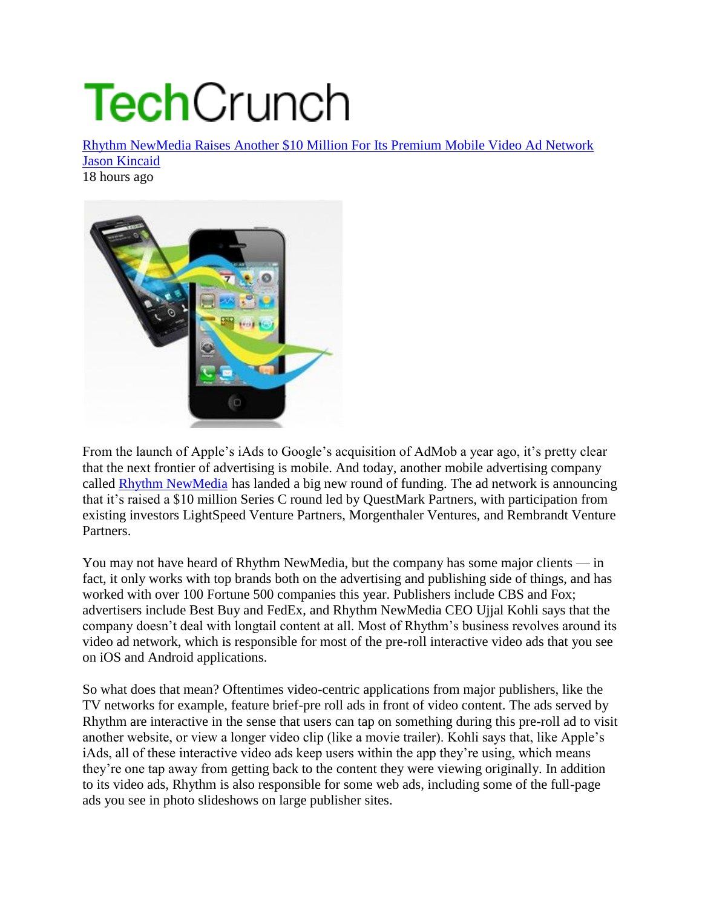## **Tech**Crunch

Rhythm NewMedia Raises Another \$10 Million For Its Premium Mobile Video Ad Network Jason Kincaid 18 hours ago



From the launch of Apple's iAds to Google's acquisition of AdMob a year ago, it's pretty clear that the next frontier of advertising is mobile. And today, another mobile advertising company called Rhythm NewMedia has landed a big new round of funding. The ad network is announcing that it's raised a \$10 million Series C round led by QuestMark Partners, with participation from existing investors LightSpeed Venture Partners, Morgenthaler Ventures, and Rembrandt Venture Partners.

You may not have heard of Rhythm NewMedia, but the company has some major clients — in fact, it only works with top brands both on the advertising and publishing side of things, and has worked with over 100 Fortune 500 companies this year. Publishers include CBS and Fox; advertisers include Best Buy and FedEx, and Rhythm NewMedia CEO Ujjal Kohli says that the company doesn't deal with longtail content at all. Most of Rhythm's business revolves around its video ad network, which is responsible for most of the pre-roll interactive video ads that you see on iOS and Android applications.

So what does that mean? Oftentimes video-centric applications from major publishers, like the TV networks for example, feature brief-pre roll ads in front of video content. The ads served by Rhythm are interactive in the sense that users can tap on something during this pre-roll ad to visit another website, or view a longer video clip (like a movie trailer). Kohli says that, like Apple's iAds, all of these interactive video ads keep users within the app they're using, which means they're one tap away from getting back to the content they were viewing originally. In addition to its video ads, Rhythm is also responsible for some web ads, including some of the full-page ads you see in photo slideshows on large publisher sites.